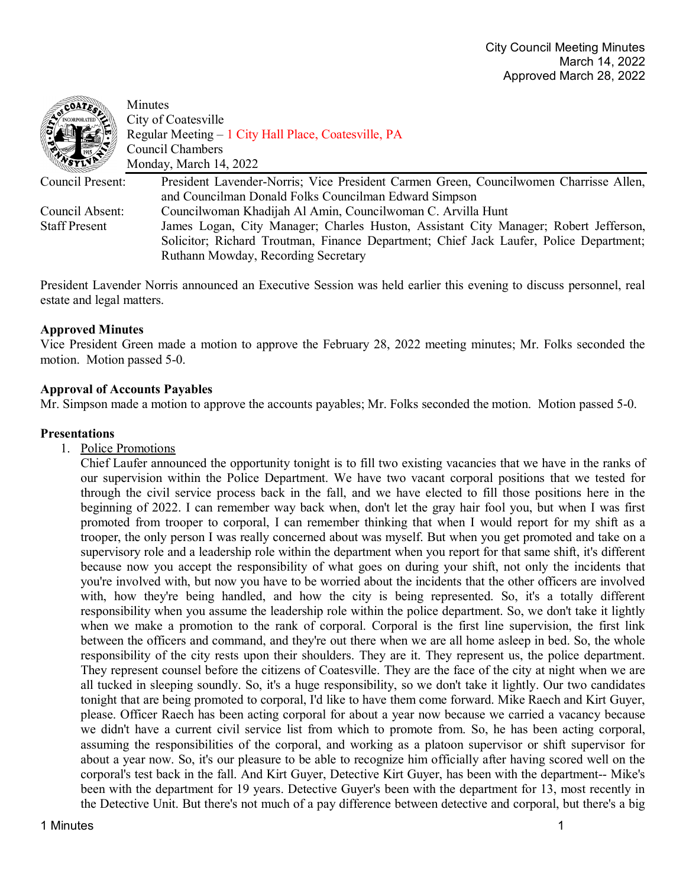| <b>COATES!</b>       | Minutes                                                                                |
|----------------------|----------------------------------------------------------------------------------------|
|                      | City of Coatesville                                                                    |
|                      | Regular Meeting - 1 City Hall Place, Coatesville, PA                                   |
|                      | Council Chambers                                                                       |
|                      | Monday, March 14, 2022                                                                 |
| Council Present:     | President Lavender-Norris; Vice President Carmen Green, Councilwomen Charrisse Allen,  |
|                      | and Councilman Donald Folks Councilman Edward Simpson                                  |
| Council Absent:      | Councilwoman Khadijah Al Amin, Councilwoman C. Arvilla Hunt                            |
| <b>Staff Present</b> | James Logan, City Manager; Charles Huston, Assistant City Manager; Robert Jefferson,   |
|                      | Solicitor; Richard Troutman, Finance Department; Chief Jack Laufer, Police Department; |
|                      | Ruthann Mowday, Recording Secretary                                                    |
|                      |                                                                                        |

President Lavender Norris announced an Executive Session was held earlier this evening to discuss personnel, real estate and legal matters.

## **Approved Minutes**

Vice President Green made a motion to approve the February 28, 2022 meeting minutes; Mr. Folks seconded the motion. Motion passed 5-0.

### **Approval of Accounts Payables**

Mr. Simpson made a motion to approve the accounts payables; Mr. Folks seconded the motion. Motion passed 5-0.

## **Presentations**

1. Police Promotions

Chief Laufer announced the opportunity tonight is to fill two existing vacancies that we have in the ranks of our supervision within the Police Department. We have two vacant corporal positions that we tested for through the civil service process back in the fall, and we have elected to fill those positions here in the beginning of 2022. I can remember way back when, don't let the gray hair fool you, but when I was first promoted from trooper to corporal, I can remember thinking that when I would report for my shift as a trooper, the only person I was really concerned about was myself. But when you get promoted and take on a supervisory role and a leadership role within the department when you report for that same shift, it's different because now you accept the responsibility of what goes on during your shift, not only the incidents that you're involved with, but now you have to be worried about the incidents that the other officers are involved with, how they're being handled, and how the city is being represented. So, it's a totally different responsibility when you assume the leadership role within the police department. So, we don't take it lightly when we make a promotion to the rank of corporal. Corporal is the first line supervision, the first link between the officers and command, and they're out there when we are all home asleep in bed. So, the whole responsibility of the city rests upon their shoulders. They are it. They represent us, the police department. They represent counsel before the citizens of Coatesville. They are the face of the city at night when we are all tucked in sleeping soundly. So, it's a huge responsibility, so we don't take it lightly. Our two candidates tonight that are being promoted to corporal, I'd like to have them come forward. Mike Raech and Kirt Guyer, please. Officer Raech has been acting corporal for about a year now because we carried a vacancy because we didn't have a current civil service list from which to promote from. So, he has been acting corporal, assuming the responsibilities of the corporal, and working as a platoon supervisor or shift supervisor for about a year now. So, it's our pleasure to be able to recognize him officially after having scored well on the corporal's test back in the fall. And Kirt Guyer, Detective Kirt Guyer, has been with the department-- Mike's been with the department for 19 years. Detective Guyer's been with the department for 13, most recently in the Detective Unit. But there's not much of a pay difference between detective and corporal, but there's a big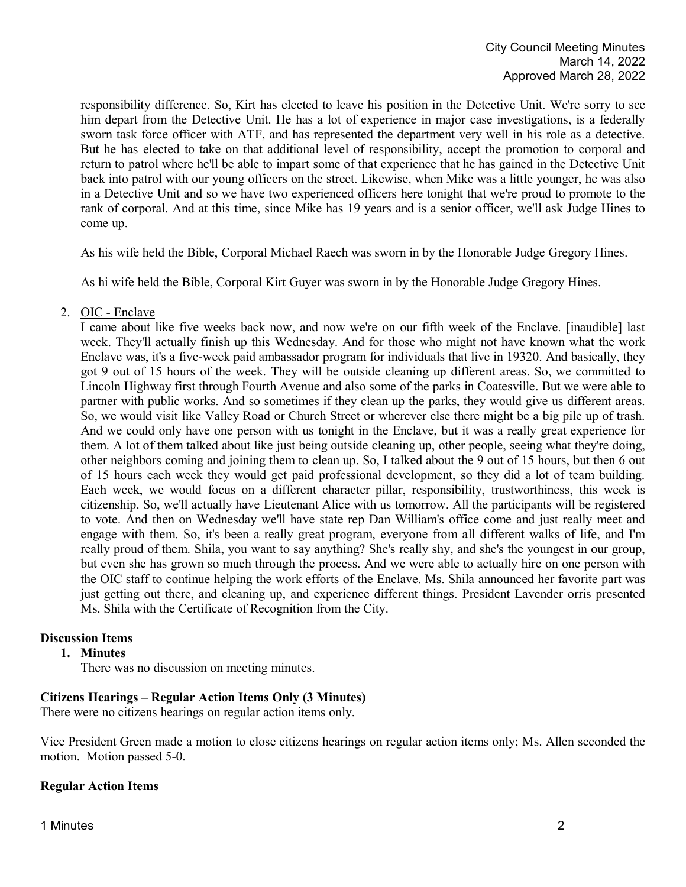responsibility difference. So, Kirt has elected to leave his position in the Detective Unit. We're sorry to see him depart from the Detective Unit. He has a lot of experience in major case investigations, is a federally sworn task force officer with ATF, and has represented the department very well in his role as a detective. But he has elected to take on that additional level of responsibility, accept the promotion to corporal and return to patrol where he'll be able to impart some of that experience that he has gained in the Detective Unit back into patrol with our young officers on the street. Likewise, when Mike was a little younger, he was also in a Detective Unit and so we have two experienced officers here tonight that we're proud to promote to the rank of corporal. And at this time, since Mike has 19 years and is a senior officer, we'll ask Judge Hines to come up.

As his wife held the Bible, Corporal Michael Raech was sworn in by the Honorable Judge Gregory Hines.

As hi wife held the Bible, Corporal Kirt Guyer was sworn in by the Honorable Judge Gregory Hines.

2. OIC - Enclave

I came about like five weeks back now, and now we're on our fifth week of the Enclave. [inaudible] last week. They'll actually finish up this Wednesday. And for those who might not have known what the work Enclave was, it's a five-week paid ambassador program for individuals that live in 19320. And basically, they got 9 out of 15 hours of the week. They will be outside cleaning up different areas. So, we committed to Lincoln Highway first through Fourth Avenue and also some of the parks in Coatesville. But we were able to partner with public works. And so sometimes if they clean up the parks, they would give us different areas. So, we would visit like Valley Road or Church Street or wherever else there might be a big pile up of trash. And we could only have one person with us tonight in the Enclave, but it was a really great experience for them. A lot of them talked about like just being outside cleaning up, other people, seeing what they're doing, other neighbors coming and joining them to clean up. So, I talked about the 9 out of 15 hours, but then 6 out of 15 hours each week they would get paid professional development, so they did a lot of team building. Each week, we would focus on a different character pillar, responsibility, trustworthiness, this week is citizenship. So, we'll actually have Lieutenant Alice with us tomorrow. All the participants will be registered to vote. And then on Wednesday we'll have state rep Dan William's office come and just really meet and engage with them. So, it's been a really great program, everyone from all different walks of life, and I'm really proud of them. Shila, you want to say anything? She's really shy, and she's the youngest in our group, but even she has grown so much through the process. And we were able to actually hire on one person with the OIC staff to continue helping the work efforts of the Enclave. Ms. Shila announced her favorite part was just getting out there, and cleaning up, and experience different things. President Lavender orris presented Ms. Shila with the Certificate of Recognition from the City.

# **Discussion Items**

**1. Minutes**

There was no discussion on meeting minutes.

# **Citizens Hearings – Regular Action Items Only (3 Minutes)**

There were no citizens hearings on regular action items only.

Vice President Green made a motion to close citizens hearings on regular action items only; Ms. Allen seconded the motion. Motion passed 5-0.

# **Regular Action Items**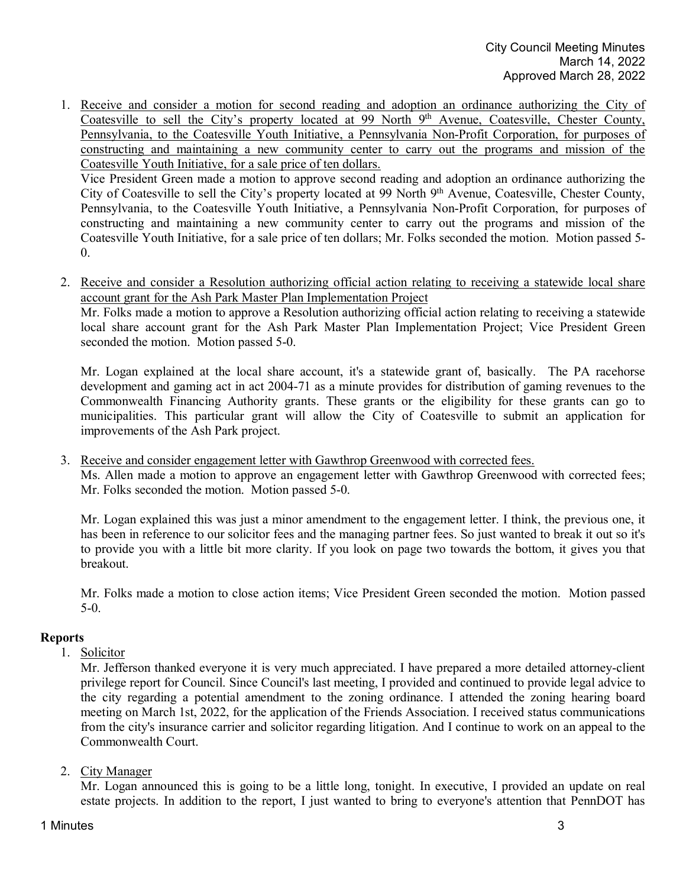1. Receive and consider a motion for second reading and adoption an ordinance authorizing the City of Coatesville to sell the City's property located at 99 North 9<sup>th</sup> Avenue, Coatesville, Chester County, Pennsylvania, to the Coatesville Youth Initiative, a Pennsylvania Non-Profit Corporation, for purposes of constructing and maintaining a new community center to carry out the programs and mission of the Coatesville Youth Initiative, for a sale price of ten dollars.

Vice President Green made a motion to approve second reading and adoption an ordinance authorizing the City of Coatesville to sell the City's property located at 99 North 9th Avenue, Coatesville, Chester County, Pennsylvania, to the Coatesville Youth Initiative, a Pennsylvania Non-Profit Corporation, for purposes of constructing and maintaining a new community center to carry out the programs and mission of the Coatesville Youth Initiative, for a sale price of ten dollars; Mr. Folks seconded the motion. Motion passed 5- 0.

2. Receive and consider a Resolution authorizing official action relating to receiving a statewide local share account grant for the Ash Park Master Plan Implementation Project

Mr. Folks made a motion to approve a Resolution authorizing official action relating to receiving a statewide local share account grant for the Ash Park Master Plan Implementation Project; Vice President Green seconded the motion. Motion passed 5-0.

Mr. Logan explained at the local share account, it's a statewide grant of, basically. The PA racehorse development and gaming act in act 2004-71 as a minute provides for distribution of gaming revenues to the Commonwealth Financing Authority grants. These grants or the eligibility for these grants can go to municipalities. This particular grant will allow the City of Coatesville to submit an application for improvements of the Ash Park project.

3. Receive and consider engagement letter with Gawthrop Greenwood with corrected fees.

Ms. Allen made a motion to approve an engagement letter with Gawthrop Greenwood with corrected fees; Mr. Folks seconded the motion. Motion passed 5-0.

Mr. Logan explained this was just a minor amendment to the engagement letter. I think, the previous one, it has been in reference to our solicitor fees and the managing partner fees. So just wanted to break it out so it's to provide you with a little bit more clarity. If you look on page two towards the bottom, it gives you that breakout.

Mr. Folks made a motion to close action items; Vice President Green seconded the motion. Motion passed 5-0.

# **Reports**

1. Solicitor

Mr. Jefferson thanked everyone it is very much appreciated. I have prepared a more detailed attorney-client privilege report for Council. Since Council's last meeting, I provided and continued to provide legal advice to the city regarding a potential amendment to the zoning ordinance. I attended the zoning hearing board meeting on March 1st, 2022, for the application of the Friends Association. I received status communications from the city's insurance carrier and solicitor regarding litigation. And I continue to work on an appeal to the Commonwealth Court.

2. City Manager

Mr. Logan announced this is going to be a little long, tonight. In executive, I provided an update on real estate projects. In addition to the report, I just wanted to bring to everyone's attention that PennDOT has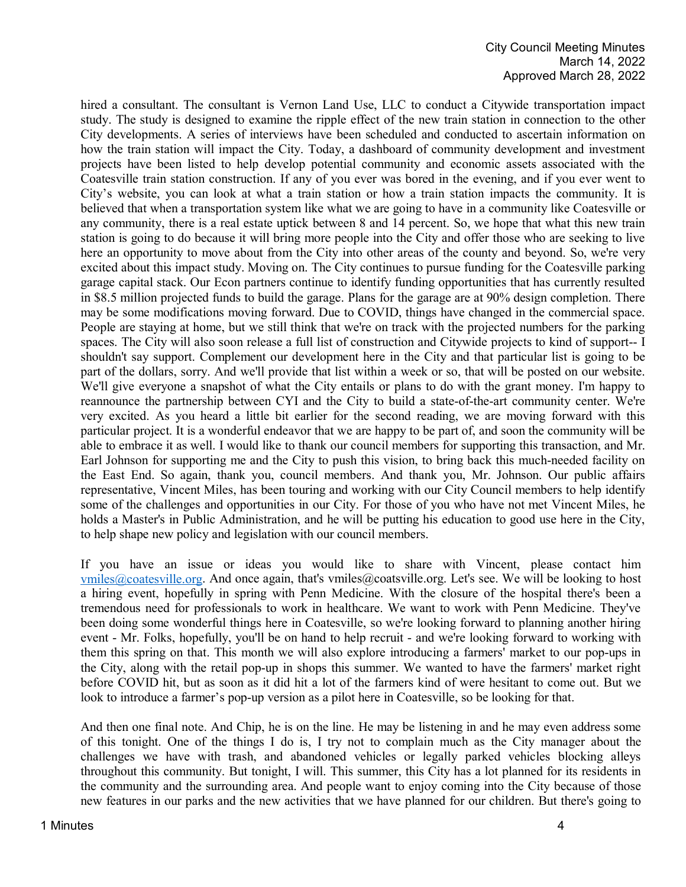hired a consultant. The consultant is Vernon Land Use, LLC to conduct a Citywide transportation impact study. The study is designed to examine the ripple effect of the new train station in connection to the other City developments. A series of interviews have been scheduled and conducted to ascertain information on how the train station will impact the City. Today, a dashboard of community development and investment projects have been listed to help develop potential community and economic assets associated with the Coatesville train station construction. If any of you ever was bored in the evening, and if you ever went to City's website, you can look at what a train station or how a train station impacts the community. It is believed that when a transportation system like what we are going to have in a community like Coatesville or any community, there is a real estate uptick between 8 and 14 percent. So, we hope that what this new train station is going to do because it will bring more people into the City and offer those who are seeking to live here an opportunity to move about from the City into other areas of the county and beyond. So, we're very excited about this impact study. Moving on. The City continues to pursue funding for the Coatesville parking garage capital stack. Our Econ partners continue to identify funding opportunities that has currently resulted in \$8.5 million projected funds to build the garage. Plans for the garage are at 90% design completion. There may be some modifications moving forward. Due to COVID, things have changed in the commercial space. People are staying at home, but we still think that we're on track with the projected numbers for the parking spaces. The City will also soon release a full list of construction and Citywide projects to kind of support-- I shouldn't say support. Complement our development here in the City and that particular list is going to be part of the dollars, sorry. And we'll provide that list within a week or so, that will be posted on our website. We'll give everyone a snapshot of what the City entails or plans to do with the grant money. I'm happy to reannounce the partnership between CYI and the City to build a state-of-the-art community center. We're very excited. As you heard a little bit earlier for the second reading, we are moving forward with this particular project. It is a wonderful endeavor that we are happy to be part of, and soon the community will be able to embrace it as well. I would like to thank our council members for supporting this transaction, and Mr. Earl Johnson for supporting me and the City to push this vision, to bring back this much-needed facility on the East End. So again, thank you, council members. And thank you, Mr. Johnson. Our public affairs representative, Vincent Miles, has been touring and working with our City Council members to help identify some of the challenges and opportunities in our City. For those of you who have not met Vincent Miles, he holds a Master's in Public Administration, and he will be putting his education to good use here in the City, to help shape new policy and legislation with our council members.

If you have an issue or ideas you would like to share with Vincent, please contact him [vmiles@coatesville.org.](mailto:vmiles@coatesville.org) And once again, that's vmiles@coatsville.org. Let's see. We will be looking to host a hiring event, hopefully in spring with Penn Medicine. With the closure of the hospital there's been a tremendous need for professionals to work in healthcare. We want to work with Penn Medicine. They've been doing some wonderful things here in Coatesville, so we're looking forward to planning another hiring event - Mr. Folks, hopefully, you'll be on hand to help recruit - and we're looking forward to working with them this spring on that. This month we will also explore introducing a farmers' market to our pop-ups in the City, along with the retail pop-up in shops this summer. We wanted to have the farmers' market right before COVID hit, but as soon as it did hit a lot of the farmers kind of were hesitant to come out. But we look to introduce a farmer's pop-up version as a pilot here in Coatesville, so be looking for that.

And then one final note. And Chip, he is on the line. He may be listening in and he may even address some of this tonight. One of the things I do is, I try not to complain much as the City manager about the challenges we have with trash, and abandoned vehicles or legally parked vehicles blocking alleys throughout this community. But tonight, I will. This summer, this City has a lot planned for its residents in the community and the surrounding area. And people want to enjoy coming into the City because of those new features in our parks and the new activities that we have planned for our children. But there's going to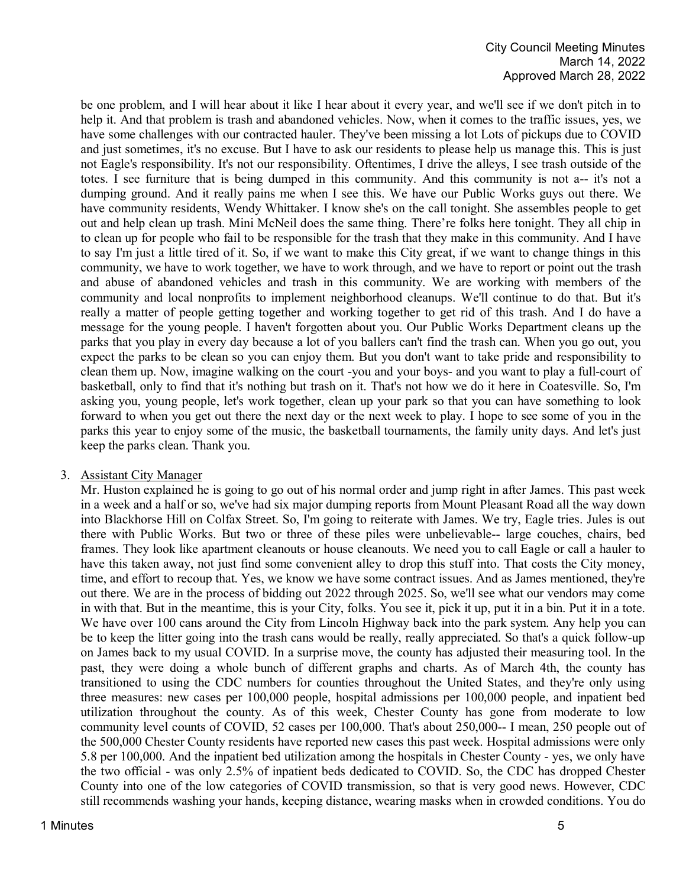be one problem, and I will hear about it like I hear about it every year, and we'll see if we don't pitch in to help it. And that problem is trash and abandoned vehicles. Now, when it comes to the traffic issues, yes, we have some challenges with our contracted hauler. They've been missing a lot Lots of pickups due to COVID and just sometimes, it's no excuse. But I have to ask our residents to please help us manage this. This is just not Eagle's responsibility. It's not our responsibility. Oftentimes, I drive the alleys, I see trash outside of the totes. I see furniture that is being dumped in this community. And this community is not a-- it's not a dumping ground. And it really pains me when I see this. We have our Public Works guys out there. We have community residents, Wendy Whittaker. I know she's on the call tonight. She assembles people to get out and help clean up trash. Mini McNeil does the same thing. There're folks here tonight. They all chip in to clean up for people who fail to be responsible for the trash that they make in this community. And I have to say I'm just a little tired of it. So, if we want to make this City great, if we want to change things in this community, we have to work together, we have to work through, and we have to report or point out the trash and abuse of abandoned vehicles and trash in this community. We are working with members of the community and local nonprofits to implement neighborhood cleanups. We'll continue to do that. But it's really a matter of people getting together and working together to get rid of this trash. And I do have a message for the young people. I haven't forgotten about you. Our Public Works Department cleans up the parks that you play in every day because a lot of you ballers can't find the trash can. When you go out, you expect the parks to be clean so you can enjoy them. But you don't want to take pride and responsibility to clean them up. Now, imagine walking on the court -you and your boys- and you want to play a full-court of basketball, only to find that it's nothing but trash on it. That's not how we do it here in Coatesville. So, I'm asking you, young people, let's work together, clean up your park so that you can have something to look forward to when you get out there the next day or the next week to play. I hope to see some of you in the parks this year to enjoy some of the music, the basketball tournaments, the family unity days. And let's just keep the parks clean. Thank you.

### 3. Assistant City Manager

Mr. Huston explained he is going to go out of his normal order and jump right in after James. This past week in a week and a half or so, we've had six major dumping reports from Mount Pleasant Road all the way down into Blackhorse Hill on Colfax Street. So, I'm going to reiterate with James. We try, Eagle tries. Jules is out there with Public Works. But two or three of these piles were unbelievable-- large couches, chairs, bed frames. They look like apartment cleanouts or house cleanouts. We need you to call Eagle or call a hauler to have this taken away, not just find some convenient alley to drop this stuff into. That costs the City money, time, and effort to recoup that. Yes, we know we have some contract issues. And as James mentioned, they're out there. We are in the process of bidding out 2022 through 2025. So, we'll see what our vendors may come in with that. But in the meantime, this is your City, folks. You see it, pick it up, put it in a bin. Put it in a tote. We have over 100 cans around the City from Lincoln Highway back into the park system. Any help you can be to keep the litter going into the trash cans would be really, really appreciated. So that's a quick follow-up on James back to my usual COVID. In a surprise move, the county has adjusted their measuring tool. In the past, they were doing a whole bunch of different graphs and charts. As of March 4th, the county has transitioned to using the CDC numbers for counties throughout the United States, and they're only using three measures: new cases per 100,000 people, hospital admissions per 100,000 people, and inpatient bed utilization throughout the county. As of this week, Chester County has gone from moderate to low community level counts of COVID, 52 cases per 100,000. That's about 250,000-- I mean, 250 people out of the 500,000 Chester County residents have reported new cases this past week. Hospital admissions were only 5.8 per 100,000. And the inpatient bed utilization among the hospitals in Chester County - yes, we only have the two official - was only 2.5% of inpatient beds dedicated to COVID. So, the CDC has dropped Chester County into one of the low categories of COVID transmission, so that is very good news. However, CDC still recommends washing your hands, keeping distance, wearing masks when in crowded conditions. You do

### 1 Minutes 5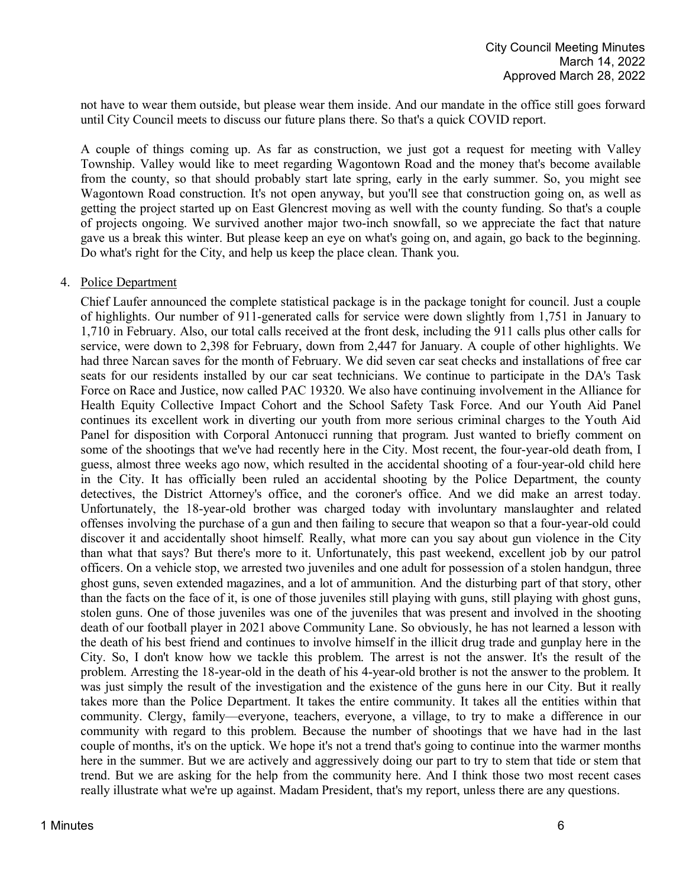not have to wear them outside, but please wear them inside. And our mandate in the office still goes forward until City Council meets to discuss our future plans there. So that's a quick COVID report.

A couple of things coming up. As far as construction, we just got a request for meeting with Valley Township. Valley would like to meet regarding Wagontown Road and the money that's become available from the county, so that should probably start late spring, early in the early summer. So, you might see Wagontown Road construction. It's not open anyway, but you'll see that construction going on, as well as getting the project started up on East Glencrest moving as well with the county funding. So that's a couple of projects ongoing. We survived another major two-inch snowfall, so we appreciate the fact that nature gave us a break this winter. But please keep an eye on what's going on, and again, go back to the beginning. Do what's right for the City, and help us keep the place clean. Thank you.

### 4. Police Department

Chief Laufer announced the complete statistical package is in the package tonight for council. Just a couple of highlights. Our number of 911-generated calls for service were down slightly from 1,751 in January to 1,710 in February. Also, our total calls received at the front desk, including the 911 calls plus other calls for service, were down to 2,398 for February, down from 2,447 for January. A couple of other highlights. We had three Narcan saves for the month of February. We did seven car seat checks and installations of free car seats for our residents installed by our car seat technicians. We continue to participate in the DA's Task Force on Race and Justice, now called PAC 19320. We also have continuing involvement in the Alliance for Health Equity Collective Impact Cohort and the School Safety Task Force. And our Youth Aid Panel continues its excellent work in diverting our youth from more serious criminal charges to the Youth Aid Panel for disposition with Corporal Antonucci running that program. Just wanted to briefly comment on some of the shootings that we've had recently here in the City. Most recent, the four-year-old death from, I guess, almost three weeks ago now, which resulted in the accidental shooting of a four-year-old child here in the City. It has officially been ruled an accidental shooting by the Police Department, the county detectives, the District Attorney's office, and the coroner's office. And we did make an arrest today. Unfortunately, the 18-year-old brother was charged today with involuntary manslaughter and related offenses involving the purchase of a gun and then failing to secure that weapon so that a four-year-old could discover it and accidentally shoot himself. Really, what more can you say about gun violence in the City than what that says? But there's more to it. Unfortunately, this past weekend, excellent job by our patrol officers. On a vehicle stop, we arrested two juveniles and one adult for possession of a stolen handgun, three ghost guns, seven extended magazines, and a lot of ammunition. And the disturbing part of that story, other than the facts on the face of it, is one of those juveniles still playing with guns, still playing with ghost guns, stolen guns. One of those juveniles was one of the juveniles that was present and involved in the shooting death of our football player in 2021 above Community Lane. So obviously, he has not learned a lesson with the death of his best friend and continues to involve himself in the illicit drug trade and gunplay here in the City. So, I don't know how we tackle this problem. The arrest is not the answer. It's the result of the problem. Arresting the 18-year-old in the death of his 4-year-old brother is not the answer to the problem. It was just simply the result of the investigation and the existence of the guns here in our City. But it really takes more than the Police Department. It takes the entire community. It takes all the entities within that community. Clergy, family—everyone, teachers, everyone, a village, to try to make a difference in our community with regard to this problem. Because the number of shootings that we have had in the last couple of months, it's on the uptick. We hope it's not a trend that's going to continue into the warmer months here in the summer. But we are actively and aggressively doing our part to try to stem that tide or stem that trend. But we are asking for the help from the community here. And I think those two most recent cases really illustrate what we're up against. Madam President, that's my report, unless there are any questions.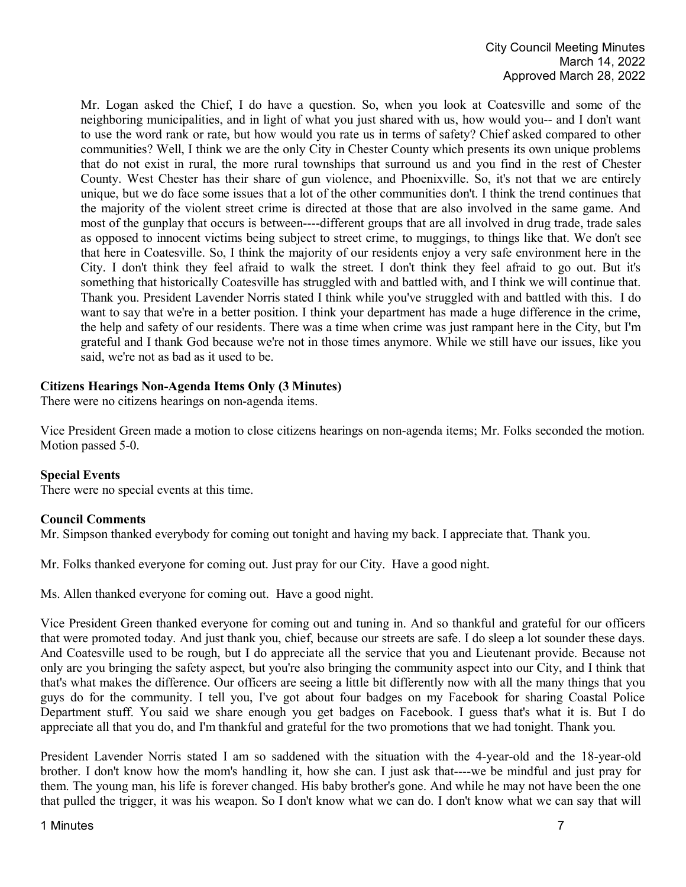Mr. Logan asked the Chief, I do have a question. So, when you look at Coatesville and some of the neighboring municipalities, and in light of what you just shared with us, how would you-- and I don't want to use the word rank or rate, but how would you rate us in terms of safety? Chief asked compared to other communities? Well, I think we are the only City in Chester County which presents its own unique problems that do not exist in rural, the more rural townships that surround us and you find in the rest of Chester County. West Chester has their share of gun violence, and Phoenixville. So, it's not that we are entirely unique, but we do face some issues that a lot of the other communities don't. I think the trend continues that the majority of the violent street crime is directed at those that are also involved in the same game. And most of the gunplay that occurs is between----different groups that are all involved in drug trade, trade sales as opposed to innocent victims being subject to street crime, to muggings, to things like that. We don't see that here in Coatesville. So, I think the majority of our residents enjoy a very safe environment here in the City. I don't think they feel afraid to walk the street. I don't think they feel afraid to go out. But it's something that historically Coatesville has struggled with and battled with, and I think we will continue that. Thank you. President Lavender Norris stated I think while you've struggled with and battled with this. I do want to say that we're in a better position. I think your department has made a huge difference in the crime, the help and safety of our residents. There was a time when crime was just rampant here in the City, but I'm grateful and I thank God because we're not in those times anymore. While we still have our issues, like you said, we're not as bad as it used to be.

## **Citizens Hearings Non-Agenda Items Only (3 Minutes)**

There were no citizens hearings on non-agenda items.

Vice President Green made a motion to close citizens hearings on non-agenda items; Mr. Folks seconded the motion. Motion passed 5-0.

### **Special Events**

There were no special events at this time.

### **Council Comments**

Mr. Simpson thanked everybody for coming out tonight and having my back. I appreciate that. Thank you.

Mr. Folks thanked everyone for coming out. Just pray for our City. Have a good night.

Ms. Allen thanked everyone for coming out. Have a good night.

Vice President Green thanked everyone for coming out and tuning in. And so thankful and grateful for our officers that were promoted today. And just thank you, chief, because our streets are safe. I do sleep a lot sounder these days. And Coatesville used to be rough, but I do appreciate all the service that you and Lieutenant provide. Because not only are you bringing the safety aspect, but you're also bringing the community aspect into our City, and I think that that's what makes the difference. Our officers are seeing a little bit differently now with all the many things that you guys do for the community. I tell you, I've got about four badges on my Facebook for sharing Coastal Police Department stuff. You said we share enough you get badges on Facebook. I guess that's what it is. But I do appreciate all that you do, and I'm thankful and grateful for the two promotions that we had tonight. Thank you.

President Lavender Norris stated I am so saddened with the situation with the 4-year-old and the 18-year-old brother. I don't know how the mom's handling it, how she can. I just ask that----we be mindful and just pray for them. The young man, his life is forever changed. His baby brother's gone. And while he may not have been the one that pulled the trigger, it was his weapon. So I don't know what we can do. I don't know what we can say that will